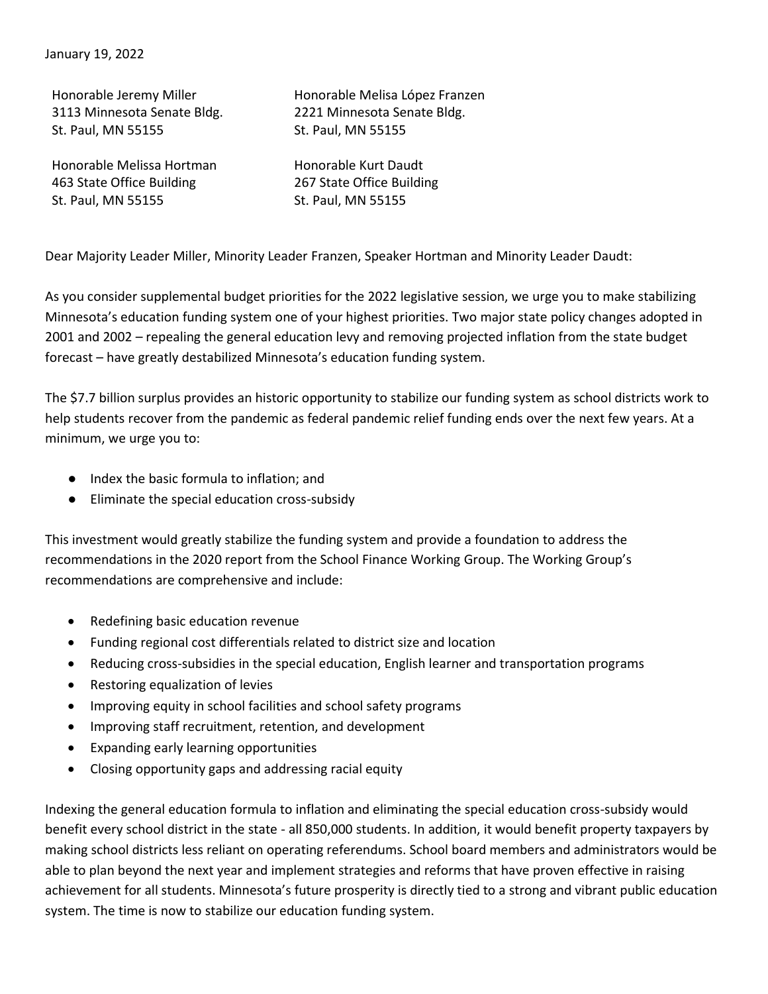Honorable Jeremy Miller 3113 Minnesota Senate Bldg. St. Paul, MN 55155

Honorable Melissa Hortman 463 State Office Building St. Paul, MN 55155

Honorable Melisa López Franzen 2221 Minnesota Senate Bldg. St. Paul, MN 55155

Honorable Kurt Daudt 267 State Office Building St. Paul, MN 55155

Dear Majority Leader Miller, Minority Leader Franzen, Speaker Hortman and Minority Leader Daudt:

As you consider supplemental budget priorities for the 2022 legislative session, we urge you to make stabilizing Minnesota's education funding system one of your highest priorities. Two major state policy changes adopted in 2001 and 2002 – repealing the general education levy and removing projected inflation from the state budget forecast – have greatly destabilized Minnesota's education funding system.

The \$7.7 billion surplus provides an historic opportunity to stabilize our funding system as school districts work to help students recover from the pandemic as federal pandemic relief funding ends over the next few years. At a minimum, we urge you to:

- Index the basic formula to inflation; and
- Eliminate the special education cross-subsidy

This investment would greatly stabilize the funding system and provide a foundation to address the recommendations in the 2020 report from the School Finance Working Group. The Working Group's recommendations are comprehensive and include:

- Redefining basic education revenue
- Funding regional cost differentials related to district size and location
- Reducing cross-subsidies in the special education, English learner and transportation programs
- Restoring equalization of levies
- Improving equity in school facilities and school safety programs
- Improving staff recruitment, retention, and development
- Expanding early learning opportunities
- Closing opportunity gaps and addressing racial equity

Indexing the general education formula to inflation and eliminating the special education cross-subsidy would benefit every school district in the state - all 850,000 students. In addition, it would benefit property taxpayers by making school districts less reliant on operating referendums. School board members and administrators would be able to plan beyond the next year and implement strategies and reforms that have proven effective in raising achievement for all students. Minnesota's future prosperity is directly tied to a strong and vibrant public education system. The time is now to stabilize our education funding system.